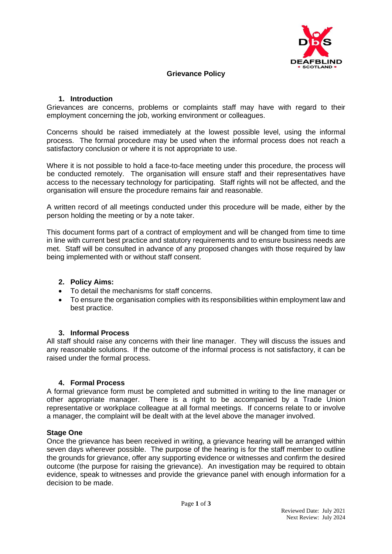

### **Grievance Policy**

### **1. Introduction**

Grievances are concerns, problems or complaints staff may have with regard to their employment concerning the job, working environment or colleagues.

Concerns should be raised immediately at the lowest possible level, using the informal process. The formal procedure may be used when the informal process does not reach a satisfactory conclusion or where it is not appropriate to use.

Where it is not possible to hold a face-to-face meeting under this procedure, the process will be conducted remotely. The organisation will ensure staff and their representatives have access to the necessary technology for participating. Staff rights will not be affected, and the organisation will ensure the procedure remains fair and reasonable.

A written record of all meetings conducted under this procedure will be made, either by the person holding the meeting or by a note taker.

This document forms part of a contract of employment and will be changed from time to time in line with current best practice and statutory requirements and to ensure business needs are met. Staff will be consulted in advance of any proposed changes with those required by law being implemented with or without staff consent.

### **2. Policy Aims:**

- To detail the mechanisms for staff concerns.
- To ensure the organisation complies with its responsibilities within employment law and best practice.

### **3. Informal Process**

All staff should raise any concerns with their line manager. They will discuss the issues and any reasonable solutions. If the outcome of the informal process is not satisfactory, it can be raised under the formal process.

### **4. Formal Process**

A formal grievance form must be completed and submitted in writing to the line manager or other appropriate manager. There is a right to be accompanied by a Trade Union representative or workplace colleague at all formal meetings. If concerns relate to or involve a manager, the complaint will be dealt with at the level above the manager involved.

### **Stage One**

Once the grievance has been received in writing, a grievance hearing will be arranged within seven days wherever possible. The purpose of the hearing is for the staff member to outline the grounds for grievance, offer any supporting evidence or witnesses and confirm the desired outcome (the purpose for raising the grievance). An investigation may be required to obtain evidence, speak to witnesses and provide the grievance panel with enough information for a decision to be made.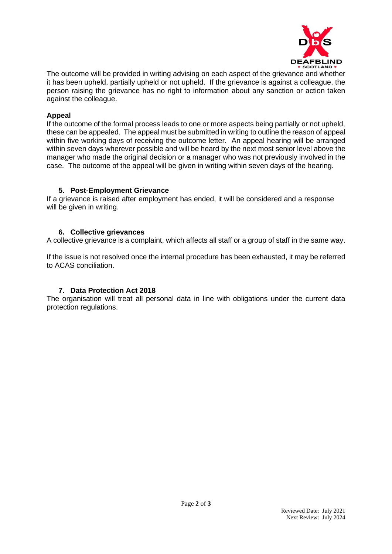

The outcome will be provided in writing advising on each aspect of the grievance and whether it has been upheld, partially upheld or not upheld. If the grievance is against a colleague, the person raising the grievance has no right to information about any sanction or action taken against the colleague.

# **Appeal**

If the outcome of the formal process leads to one or more aspects being partially or not upheld, these can be appealed. The appeal must be submitted in writing to outline the reason of appeal within five working days of receiving the outcome letter. An appeal hearing will be arranged within seven days wherever possible and will be heard by the next most senior level above the manager who made the original decision or a manager who was not previously involved in the case. The outcome of the appeal will be given in writing within seven days of the hearing.

# **5. Post-Employment Grievance**

If a grievance is raised after employment has ended, it will be considered and a response will be given in writing.

# **6. Collective grievances**

A collective grievance is a complaint, which affects all staff or a group of staff in the same way.

If the issue is not resolved once the internal procedure has been exhausted, it may be referred to ACAS conciliation.

# **7. Data Protection Act 2018**

The organisation will treat all personal data in line with obligations under the current data protection regulations.